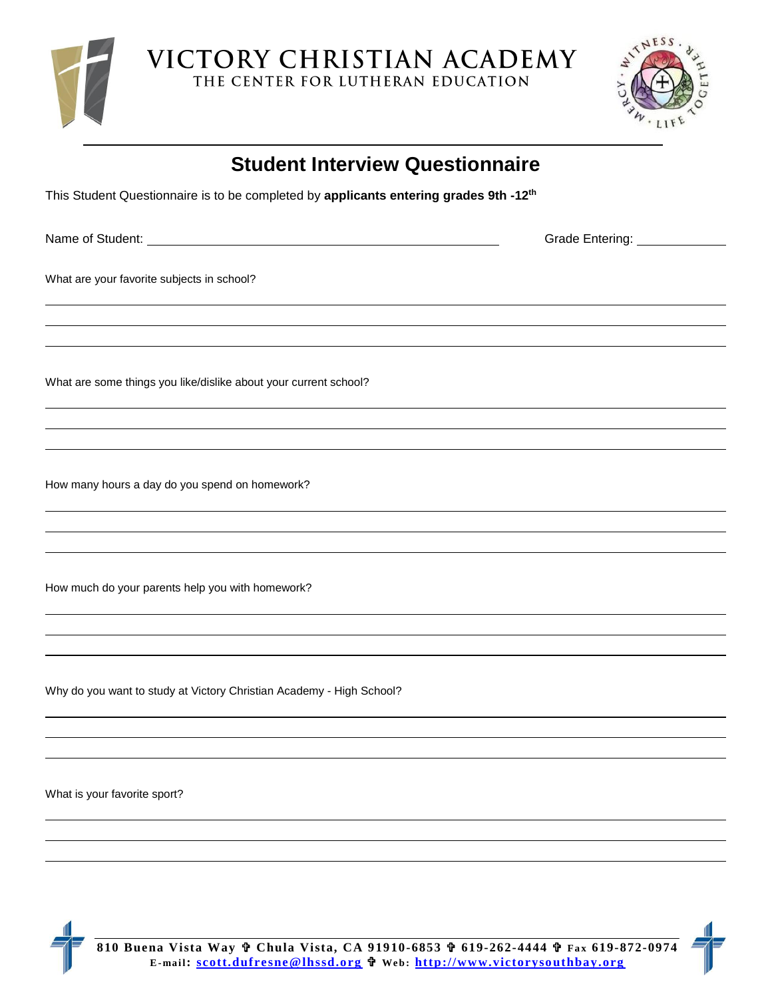

VICTORY CHRISTIAN ACADEMY THE CENTER FOR LUTHERAN EDUCATION



| <b>Student Interview Questionnaire</b><br>This Student Questionnaire is to be completed by applicants entering grades 9th -12 <sup>th</sup> |  |
|---------------------------------------------------------------------------------------------------------------------------------------------|--|
|                                                                                                                                             |  |
| What are your favorite subjects in school?                                                                                                  |  |
|                                                                                                                                             |  |
| What are some things you like/dislike about your current school?                                                                            |  |
|                                                                                                                                             |  |
| How many hours a day do you spend on homework?                                                                                              |  |
|                                                                                                                                             |  |
| How much do your parents help you with homework?                                                                                            |  |
|                                                                                                                                             |  |
|                                                                                                                                             |  |

Why do you want to study at Victory Christian Academy - High School?

What is your favorite sport?